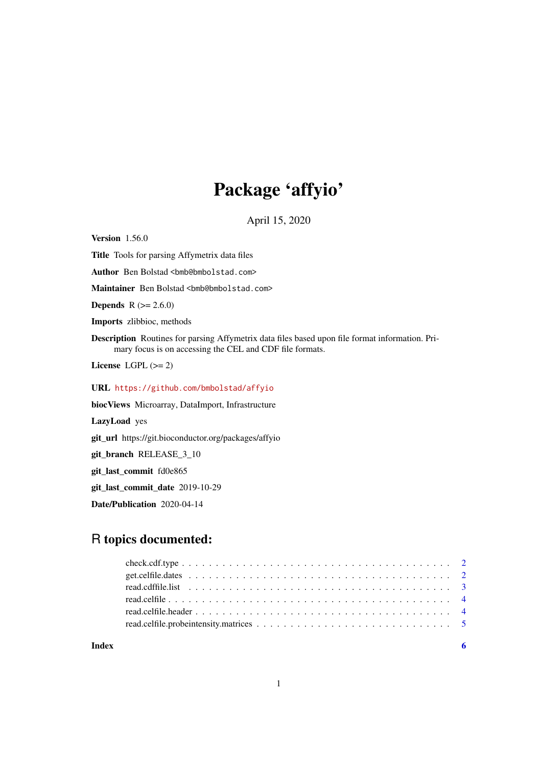## Package 'affyio'

April 15, 2020

<span id="page-0-0"></span>**Version** 1.56.0

Title Tools for parsing Affymetrix data files Author Ben Bolstad <br/> <br/>bmb@bmbolstad.com> Maintainer Ben Bolstad <br/> <br/>bmb@bmbolstad.com> **Depends**  $R (= 2.6.0)$ Imports zlibbioc, methods Description Routines for parsing Affymetrix data files based upon file format information. Primary focus is on accessing the CEL and CDF file formats. License LGPL  $(>= 2)$ URL <https://github.com/bmbolstad/affyio> biocViews Microarray, DataImport, Infrastructure LazyLoad yes git\_url https://git.bioconductor.org/packages/affyio git\_branch RELEASE\_3\_10 git\_last\_commit fd0e865

git\_last\_commit\_date 2019-10-29

Date/Publication 2020-04-14

### R topics documented:

**Index** [6](#page-5-0) **6**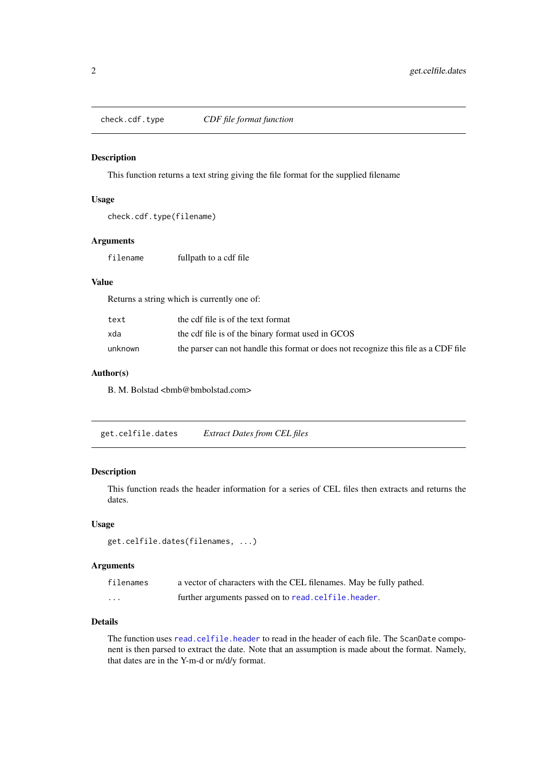<span id="page-1-1"></span><span id="page-1-0"></span>

#### Description

This function returns a text string giving the file format for the supplied filename

#### Usage

```
check.cdf.type(filename)
```
#### Arguments

```
filename fullpath to a cdf file
```
#### Value

Returns a string which is currently one of:

| text    | the cdf file is of the text format                                                  |
|---------|-------------------------------------------------------------------------------------|
| xda     | the cdf file is of the binary format used in GCOS                                   |
| unknown | the parser can not handle this format or does not recognize this file as a CDF file |

#### Author(s)

B. M. Bolstad <br/> <br/> <br/> <br/> <br/> <br/> <br/> <br/> <br/> <br/> <br/> <br/> <br/> <br/> <br/> <br/> Bolstad.com>

get.celfile.dates *Extract Dates from CEL files*

#### Description

This function reads the header information for a series of CEL files then extracts and returns the dates.

#### Usage

```
get.celfile.dates(filenames, ...)
```
#### Arguments

| filenames | a vector of characters with the CEL filenames. May be fully pathed. |
|-----------|---------------------------------------------------------------------|
| .         | further arguments passed on to read. celfile. header.               |

#### Details

The function uses [read.celfile.header](#page-3-1) to read in the header of each file. The ScanDate component is then parsed to extract the date. Note that an assumption is made about the format. Namely, that dates are in the Y-m-d or m/d/y format.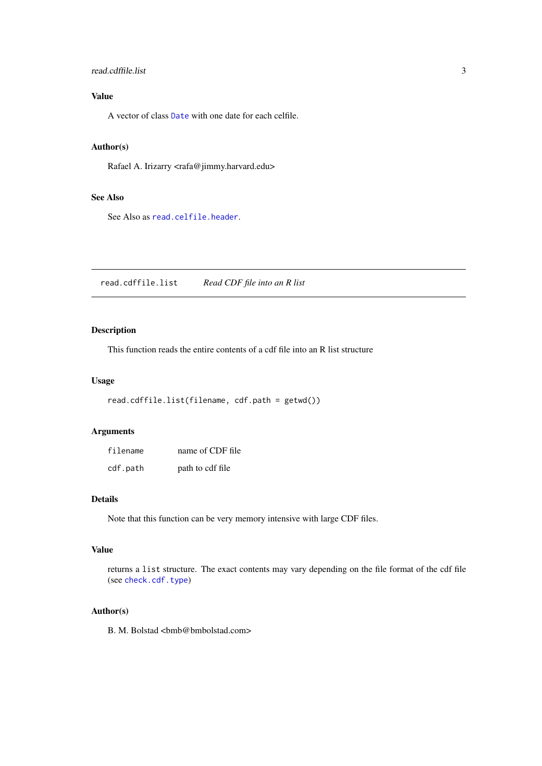#### <span id="page-2-0"></span>read.cdffile.list 3

#### Value

A vector of class [Date](#page-0-0) with one date for each celfile.

#### Author(s)

Rafael A. Irizarry <rafa@jimmy.harvard.edu>

#### See Also

See Also as [read.celfile.header](#page-3-1).

read.cdffile.list *Read CDF file into an R list*

#### Description

This function reads the entire contents of a cdf file into an R list structure

#### Usage

```
read.cdffile.list(filename, cdf.path = getwd())
```
#### Arguments

| filename | name of CDF file |
|----------|------------------|
| cdf.path | path to cdf file |

#### Details

Note that this function can be very memory intensive with large CDF files.

#### Value

returns a list structure. The exact contents may vary depending on the file format of the cdf file (see [check.cdf.type](#page-1-1))

#### Author(s)

B. M. Bolstad <br/> <br/> <br/> <br/> <br/> <br/> <br/> <br/> <br/> <br/> <br/> <br/> <br/> <br/> <br/> <br/> Bolstad.com>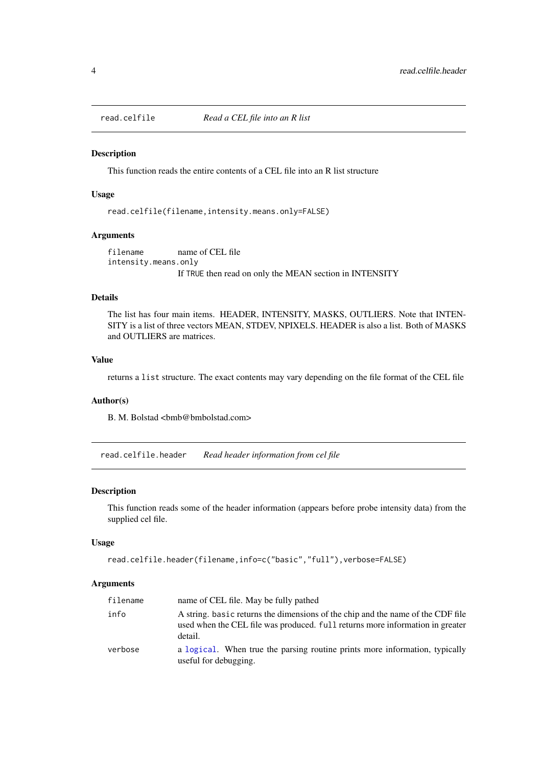<span id="page-3-0"></span>

#### Description

This function reads the entire contents of a CEL file into an R list structure

#### Usage

read.celfile(filename,intensity.means.only=FALSE)

#### Arguments

filename name of CEL file intensity.means.only If TRUE then read on only the MEAN section in INTENSITY

#### Details

The list has four main items. HEADER, INTENSITY, MASKS, OUTLIERS. Note that INTEN-SITY is a list of three vectors MEAN, STDEV, NPIXELS. HEADER is also a list. Both of MASKS and OUTLIERS are matrices.

#### Value

returns a list structure. The exact contents may vary depending on the file format of the CEL file

#### Author(s)

B. M. Bolstad <br/> <br/> <br/> <br/> <br/> <br/> <br/> <br/> <br/> <br/> <br/> <br/> <br/> <br/> <br/> <br/> Bolstad.com>

<span id="page-3-1"></span>read.celfile.header *Read header information from cel file*

#### Description

This function reads some of the header information (appears before probe intensity data) from the supplied cel file.

#### Usage

```
read.celfile.header(filename,info=c("basic","full"),verbose=FALSE)
```
#### Arguments

| filename | name of CEL file. May be fully pathed                                                                                                                                       |
|----------|-----------------------------------------------------------------------------------------------------------------------------------------------------------------------------|
| info     | A string, basic returns the dimensions of the chip and the name of the CDF file<br>used when the CEL file was produced. full returns more information in greater<br>detail. |
| verbose  | a logical. When true the parsing routine prints more information, typically<br>useful for debugging.                                                                        |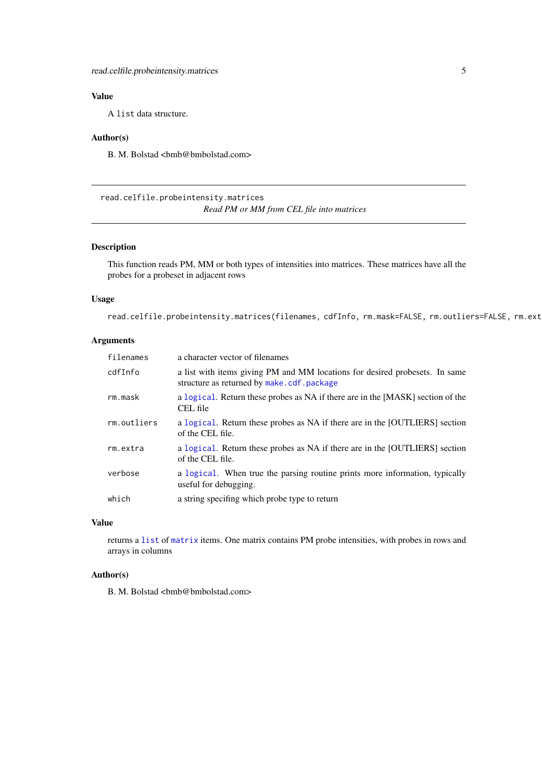<span id="page-4-0"></span>read.celfile.probeintensity.matrices 5

#### Value

A list data structure.

#### Author(s)

B. M. Bolstad <br/> <br/> <br/> <br/> <br/> <br/> <br/> <br/> <br/> <br/> <br/> <br/> <br/> <br/> <br/> <br/> Bolstad.com>

read.celfile.probeintensity.matrices *Read PM or MM from CEL file into matrices*

#### Description

This function reads PM, MM or both types of intensities into matrices. These matrices have all the probes for a probeset in adjacent rows

#### Usage

read.celfile.probeintensity.matrices(filenames, cdfInfo, rm.mask=FALSE, rm.outliers=FALSE, rm.ext

#### Arguments

| filenames   | a character vector of filenames                                                                                          |
|-------------|--------------------------------------------------------------------------------------------------------------------------|
| cdfInfo     | a list with items giving PM and MM locations for desired probesets. In same<br>structure as returned by make.cdf.package |
| rm.mask     | a logical. Return these probes as NA if there are in the [MASK] section of the<br>CEL file                               |
| rm.outliers | a logical. Return these probes as NA if there are in the [OUTLIERS] section<br>of the CEL file.                          |
| rm.extra    | a logical. Return these probes as NA if there are in the [OUTLIERS] section<br>of the CEL file.                          |
| verbose     | a logical. When true the parsing routine prints more information, typically<br>useful for debugging.                     |
| which       | a string specifing which probe type to return                                                                            |

#### Value

returns a [list](#page-0-0) of [matrix](#page-0-0) items. One matrix contains PM probe intensities, with probes in rows and arrays in columns

#### Author(s)

B. M. Bolstad <br/> <br/> <br/> <br/> <br/> <br/> <br/> <br/> <br/> <br/> <br/> <br/> <br/> <br/> <br/> <br/> Bolstad.com>